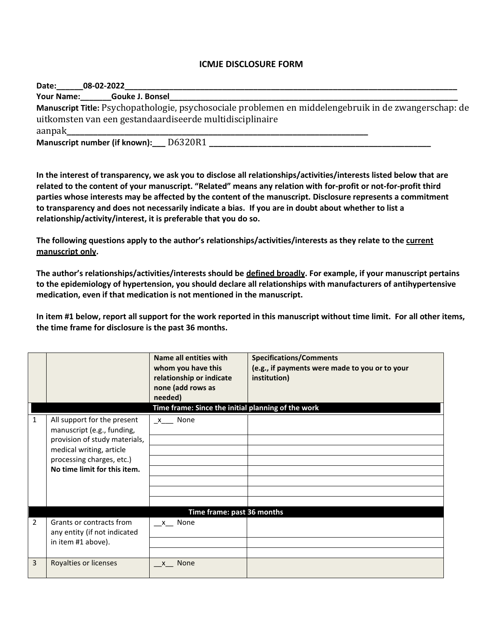## **ICMJE DISCLOSURE FORM**

| Date:  | 08-02-2022                                                                                            |
|--------|-------------------------------------------------------------------------------------------------------|
|        | Your Name: Gouke J. Bonsel                                                                            |
|        | Manuscript Title: Psychopathologie, psychosociale problemen en middelengebruik in de zwangerschap: de |
|        | uitkomsten van een gestandaardiseerde multidisciplinaire                                              |
| aanpak |                                                                                                       |
|        | Manuscript number (if known): D6320R1                                                                 |

**In the interest of transparency, we ask you to disclose all relationships/activities/interests listed below that are related to the content of your manuscript. "Related" means any relation with for-profit or not-for-profit third parties whose interests may be affected by the content of the manuscript. Disclosure represents a commitment to transparency and does not necessarily indicate a bias. If you are in doubt about whether to list a relationship/activity/interest, it is preferable that you do so.** 

**The following questions apply to the author's relationships/activities/interests as they relate to the current manuscript only.**

**The author's relationships/activities/interests should be defined broadly. For example, if your manuscript pertains to the epidemiology of hypertension, you should declare all relationships with manufacturers of antihypertensive medication, even if that medication is not mentioned in the manuscript.** 

**In item #1 below, report all support for the work reported in this manuscript without time limit. For all other items, the time frame for disclosure is the past 36 months.** 

|                |                                                                                                                                                                                     | Name all entities with<br>whom you have this<br>relationship or indicate<br>none (add rows as<br>needed)<br>Time frame: Since the initial planning of the work | <b>Specifications/Comments</b><br>(e.g., if payments were made to you or to your<br>institution) |  |  |  |
|----------------|-------------------------------------------------------------------------------------------------------------------------------------------------------------------------------------|----------------------------------------------------------------------------------------------------------------------------------------------------------------|--------------------------------------------------------------------------------------------------|--|--|--|
| 1              | All support for the present<br>manuscript (e.g., funding,<br>provision of study materials,<br>medical writing, article<br>processing charges, etc.)<br>No time limit for this item. | x None                                                                                                                                                         |                                                                                                  |  |  |  |
|                | Time frame: past 36 months                                                                                                                                                          |                                                                                                                                                                |                                                                                                  |  |  |  |
| $\overline{2}$ | Grants or contracts from<br>any entity (if not indicated<br>in item #1 above).                                                                                                      | x None                                                                                                                                                         |                                                                                                  |  |  |  |
| $\overline{3}$ | Royalties or licenses                                                                                                                                                               | None<br>$\mathsf{X}$                                                                                                                                           |                                                                                                  |  |  |  |